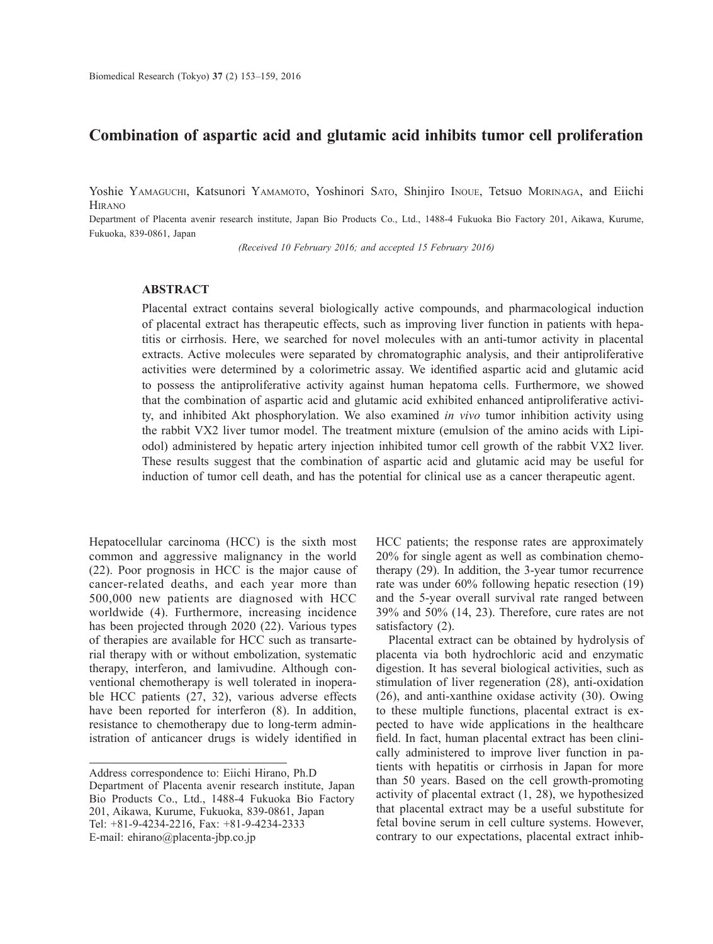# **Combination of aspartic acid and glutamic acid inhibits tumor cell proliferation**

Yoshie YAMAGUCHI, Katsunori YAMAMOTO, Yoshinori SATO, Shinjiro INOUE, Tetsuo MORINAGA, and Eiichi **HIRANO** 

Department of Placenta avenir research institute, Japan Bio Products Co., Ltd., 1488-4 Fukuoka Bio Factory 201, Aikawa, Kurume, Fukuoka, 839-0861, Japan

*(Received 10 February 2016; and accepted 15 February 2016)*

### **ABSTRACT**

Placental extract contains several biologically active compounds, and pharmacological induction of placental extract has therapeutic effects, such as improving liver function in patients with hepatitis or cirrhosis. Here, we searched for novel molecules with an anti-tumor activity in placental extracts. Active molecules were separated by chromatographic analysis, and their antiproliferative activities were determined by a colorimetric assay. We identified aspartic acid and glutamic acid to possess the antiproliferative activity against human hepatoma cells. Furthermore, we showed that the combination of aspartic acid and glutamic acid exhibited enhanced antiproliferative activity, and inhibited Akt phosphorylation. We also examined *in vivo* tumor inhibition activity using the rabbit VX2 liver tumor model. The treatment mixture (emulsion of the amino acids with Lipiodol) administered by hepatic artery injection inhibited tumor cell growth of the rabbit VX2 liver. These results suggest that the combination of aspartic acid and glutamic acid may be useful for induction of tumor cell death, and has the potential for clinical use as a cancer therapeutic agent.

Hepatocellular carcinoma (HCC) is the sixth most common and aggressive malignancy in the world (22). Poor prognosis in HCC is the major cause of cancer-related deaths, and each year more than 500,000 new patients are diagnosed with HCC worldwide (4). Furthermore, increasing incidence has been projected through 2020 (22). Various types of therapies are available for HCC such as transarterial therapy with or without embolization, systematic therapy, interferon, and lamivudine. Although conventional chemotherapy is well tolerated in inoperable HCC patients (27, 32), various adverse effects have been reported for interferon (8). In addition, resistance to chemotherapy due to long-term administration of anticancer drugs is widely identified in

HCC patients; the response rates are approximately 20% for single agent as well as combination chemotherapy (29). In addition, the 3-year tumor recurrence rate was under 60% following hepatic resection (19) and the 5-year overall survival rate ranged between 39% and 50% (14, 23). Therefore, cure rates are not satisfactory  $(2)$ .

Placental extract can be obtained by hydrolysis of placenta via both hydrochloric acid and enzymatic digestion. It has several biological activities, such as stimulation of liver regeneration (28), anti-oxidation (26), and anti-xanthine oxidase activity (30). Owing to these multiple functions, placental extract is expected to have wide applications in the healthcare field. In fact, human placental extract has been clinically administered to improve liver function in patients with hepatitis or cirrhosis in Japan for more than 50 years. Based on the cell growth-promoting activity of placental extract (1, 28), we hypothesized that placental extract may be a useful substitute for fetal bovine serum in cell culture systems. However, contrary to our expectations, placental extract inhib-

Address correspondence to: Eiichi Hirano, Ph.D Department of Placenta avenir research institute, Japan Bio Products Co., Ltd., 1488-4 Fukuoka Bio Factory 201, Aikawa, Kurume, Fukuoka, 839-0861, Japan Tel: +81-9-4234-2216, Fax: +81-9-4234-2333 E-mail: ehirano@placenta-jbp.co.jp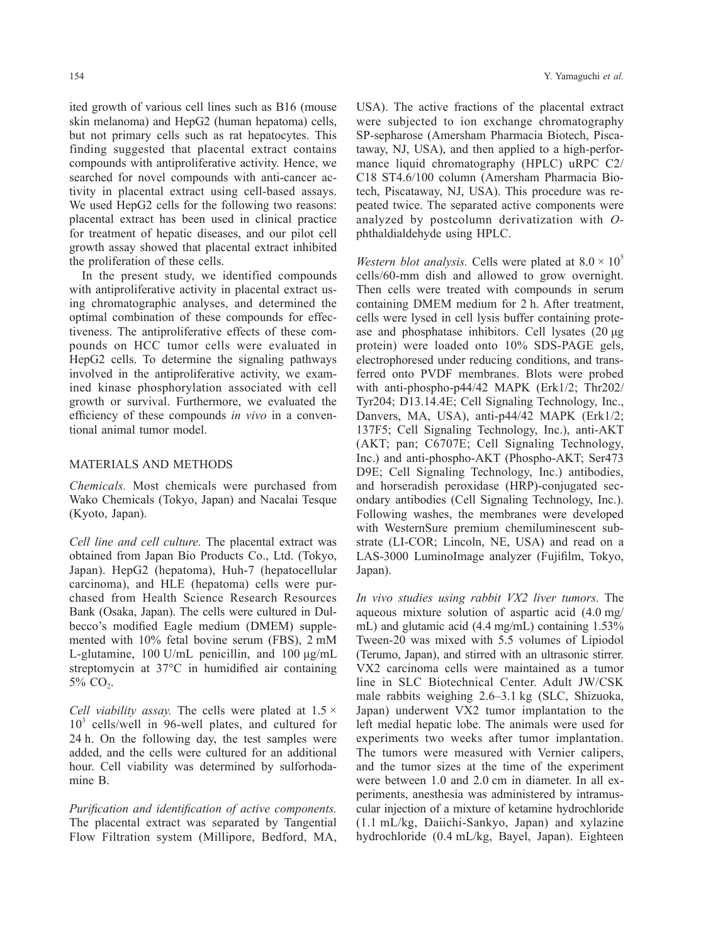ited growth of various cell lines such as B16 (mouse skin melanoma) and HepG2 (human hepatoma) cells, but not primary cells such as rat hepatocytes. This finding suggested that placental extract contains compounds with antiproliferative activity. Hence, we searched for novel compounds with anti-cancer activity in placental extract using cell-based assays. We used HepG2 cells for the following two reasons: placental extract has been used in clinical practice for treatment of hepatic diseases, and our pilot cell growth assay showed that placental extract inhibited the proliferation of these cells.

In the present study, we identified compounds with antiproliferative activity in placental extract using chromatographic analyses, and determined the optimal combination of these compounds for effectiveness. The antiproliferative effects of these compounds on HCC tumor cells were evaluated in HepG2 cells. To determine the signaling pathways involved in the antiproliferative activity, we examined kinase phosphorylation associated with cell growth or survival. Furthermore, we evaluated the efficiency of these compounds *in vivo* in a conventional animal tumor model.

#### MATERIALS AND METHODS

*Chemicals.* Most chemicals were purchased from Wako Chemicals (Tokyo, Japan) and Nacalai Tesque (Kyoto, Japan).

*Cell line and cell culture.* The placental extract was obtained from Japan Bio Products Co., Ltd. (Tokyo, Japan). HepG2 (hepatoma), Huh-7 (hepatocellular carcinoma), and HLE (hepatoma) cells were purchased from Health Science Research Resources Bank (Osaka, Japan). The cells were cultured in Dulbecco's modified Eagle medium (DMEM) supplemented with 10% fetal bovine serum (FBS), 2 mM L-glutamine, 100 U/mL penicillin, and 100 μg/mL streptomycin at 37°C in humidified air containing  $5\%$  CO<sub>2</sub>.

*Cell viability assay.* The cells were plated at 1.5 × 10<sup>3</sup> cells/well in 96-well plates, and cultured for 24 h. On the following day, the test samples were added, and the cells were cultured for an additional hour. Cell viability was determined by sulforhodamine B.

*Purification and identification of active components.* The placental extract was separated by Tangential Flow Filtration system (Millipore, Bedford, MA,

USA). The active fractions of the placental extract were subjected to ion exchange chromatography SP-sepharose (Amersham Pharmacia Biotech, Piscataway, NJ, USA), and then applied to a high-performance liquid chromatography (HPLC) uRPC C2/ C18 ST4.6/100 column (Amersham Pharmacia Biotech, Piscataway, NJ, USA). This procedure was repeated twice. The separated active components were analyzed by postcolumn derivatization with *O*phthaldialdehyde using HPLC.

*Western blot analysis.* Cells were plated at  $8.0 \times 10^5$ cells/60-mm dish and allowed to grow overnight. Then cells were treated with compounds in serum containing DMEM medium for 2 h. After treatment, cells were lysed in cell lysis buffer containing protease and phosphatase inhibitors. Cell lysates (20 μg protein) were loaded onto 10% SDS-PAGE gels, electrophoresed under reducing conditions, and transferred onto PVDF membranes. Blots were probed with anti-phospho-p44/42 MAPK (Erk1/2; Thr202/ Tyr204; D13.14.4E; Cell Signaling Technology, Inc., Danvers, MA, USA), anti-p44/42 MAPK (Erk1/2; 137F5; Cell Signaling Technology, Inc.), anti-AKT (AKT; pan; C6707E; Cell Signaling Technology, Inc.) and anti-phospho-AKT (Phospho-AKT; Ser473 D9E; Cell Signaling Technology, Inc.) antibodies, and horseradish peroxidase (HRP)-conjugated secondary antibodies (Cell Signaling Technology, Inc.). Following washes, the membranes were developed with WesternSure premium chemiluminescent substrate (LI-COR; Lincoln, NE, USA) and read on a LAS-3000 LuminoImage analyzer (Fujifilm, Tokyo, Japan).

*In vivo studies using rabbit VX2 liver tumors.* The aqueous mixture solution of aspartic acid (4.0 mg/ mL) and glutamic acid (4.4 mg/mL) containing 1.53% Tween-20 was mixed with 5.5 volumes of Lipiodol (Terumo, Japan), and stirred with an ultrasonic stirrer. VX2 carcinoma cells were maintained as a tumor line in SLC Biotechnical Center. Adult JW/CSK male rabbits weighing 2.6–3.1 kg (SLC, Shizuoka, Japan) underwent VX2 tumor implantation to the left medial hepatic lobe. The animals were used for experiments two weeks after tumor implantation. The tumors were measured with Vernier calipers, and the tumor sizes at the time of the experiment were between 1.0 and 2.0 cm in diameter. In all experiments, anesthesia was administered by intramuscular injection of a mixture of ketamine hydrochloride (1.1 mL/kg, Daiichi-Sankyo, Japan) and xylazine hydrochloride (0.4 mL/kg, Bayel, Japan). Eighteen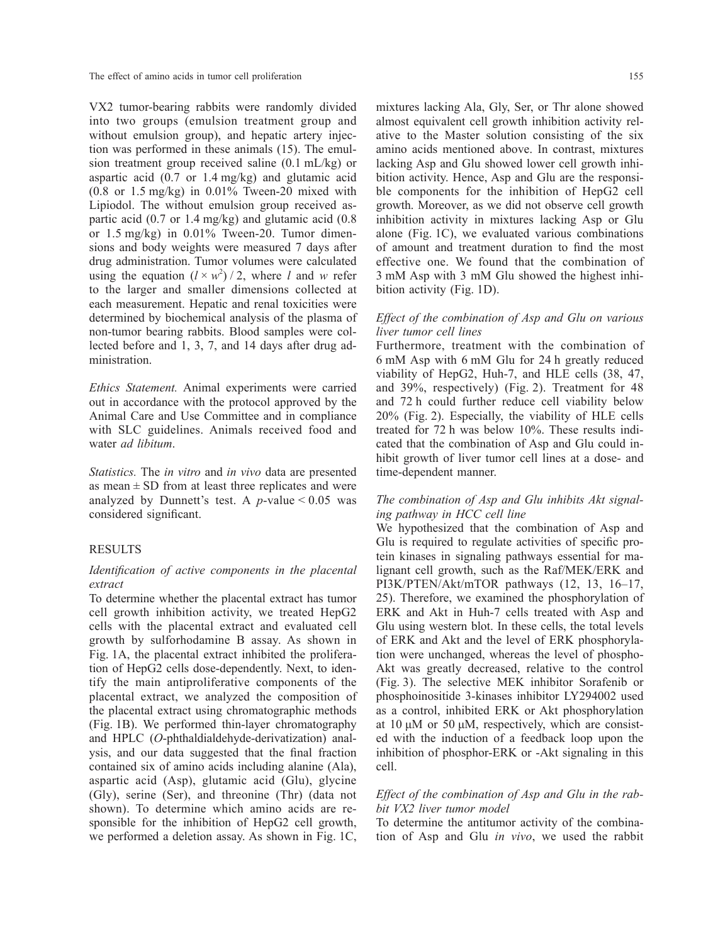VX2 tumor-bearing rabbits were randomly divided into two groups (emulsion treatment group and without emulsion group), and hepatic artery injection was performed in these animals (15). The emulsion treatment group received saline (0.1 mL/kg) or aspartic acid (0.7 or 1.4 mg/kg) and glutamic acid  $(0.8$  or  $1.5$  mg/kg) in  $0.01\%$  Tween-20 mixed with Lipiodol. The without emulsion group received aspartic acid (0.7 or 1.4 mg/kg) and glutamic acid (0.8 or 1.5 mg/kg) in 0.01% Tween-20. Tumor dimensions and body weights were measured 7 days after drug administration. Tumor volumes were calculated using the equation  $(l \times w^2)/2$ , where *l* and *w* refer to the larger and smaller dimensions collected at each measurement. Hepatic and renal toxicities were determined by biochemical analysis of the plasma of non-tumor bearing rabbits. Blood samples were collected before and 1, 3, 7, and 14 days after drug administration.

*Ethics Statement.* Animal experiments were carried out in accordance with the protocol approved by the Animal Care and Use Committee and in compliance with SLC guidelines. Animals received food and water *ad libitum*.

*Statistics.* The *in vitro* and *in vivo* data are presented as mean  $\pm$  SD from at least three replicates and were analyzed by Dunnett's test. A  $p$ -value < 0.05 was considered significant.

### RESULTS

# *Identification of active components in the placental extract*

To determine whether the placental extract has tumor cell growth inhibition activity, we treated HepG2 cells with the placental extract and evaluated cell growth by sulforhodamine B assay. As shown in Fig. 1A, the placental extract inhibited the proliferation of HepG2 cells dose-dependently. Next, to identify the main antiproliferative components of the placental extract, we analyzed the composition of the placental extract using chromatographic methods (Fig. 1B). We performed thin-layer chromatography and HPLC (*O*-phthaldialdehyde-derivatization) analysis, and our data suggested that the final fraction contained six of amino acids including alanine (Ala), aspartic acid (Asp), glutamic acid (Glu), glycine (Gly), serine (Ser), and threonine (Thr) (data not shown). To determine which amino acids are responsible for the inhibition of HepG2 cell growth, we performed a deletion assay. As shown in Fig. 1C,

mixtures lacking Ala, Gly, Ser, or Thr alone showed almost equivalent cell growth inhibition activity relative to the Master solution consisting of the six amino acids mentioned above. In contrast, mixtures lacking Asp and Glu showed lower cell growth inhibition activity. Hence, Asp and Glu are the responsible components for the inhibition of HepG2 cell growth. Moreover, as we did not observe cell growth inhibition activity in mixtures lacking Asp or Glu alone (Fig. 1C), we evaluated various combinations of amount and treatment duration to find the most effective one. We found that the combination of 3 mM Asp with 3 mM Glu showed the highest inhibition activity (Fig. 1D).

### *Effect of the combination of Asp and Glu on various liver tumor cell lines*

Furthermore, treatment with the combination of 6 mM Asp with 6 mM Glu for 24 h greatly reduced viability of HepG2, Huh-7, and HLE cells (38, 47, and 39%, respectively) (Fig. 2). Treatment for 48 and 72 h could further reduce cell viability below 20% (Fig. 2). Especially, the viability of HLE cells treated for 72 h was below 10%. These results indicated that the combination of Asp and Glu could inhibit growth of liver tumor cell lines at a dose- and time-dependent manner.

# *The combination of Asp and Glu inhibits Akt signaling pathway in HCC cell line*

We hypothesized that the combination of Asp and Glu is required to regulate activities of specific protein kinases in signaling pathways essential for malignant cell growth, such as the Raf/MEK/ERK and PI3K/PTEN/Akt/mTOR pathways (12, 13, 16–17, 25). Therefore, we examined the phosphorylation of ERK and Akt in Huh-7 cells treated with Asp and Glu using western blot. In these cells, the total levels of ERK and Akt and the level of ERK phosphorylation were unchanged, whereas the level of phospho-Akt was greatly decreased, relative to the control (Fig. 3). The selective MEK inhibitor Sorafenib or phosphoinositide 3-kinases inhibitor LY294002 used as a control, inhibited ERK or Akt phosphorylation at 10 μM or 50 μM, respectively, which are consisted with the induction of a feedback loop upon the inhibition of phosphor-ERK or -Akt signaling in this cell.

## *Effect of the combination of Asp and Glu in the rabbit VX2 liver tumor model*

To determine the antitumor activity of the combination of Asp and Glu *in vivo*, we used the rabbit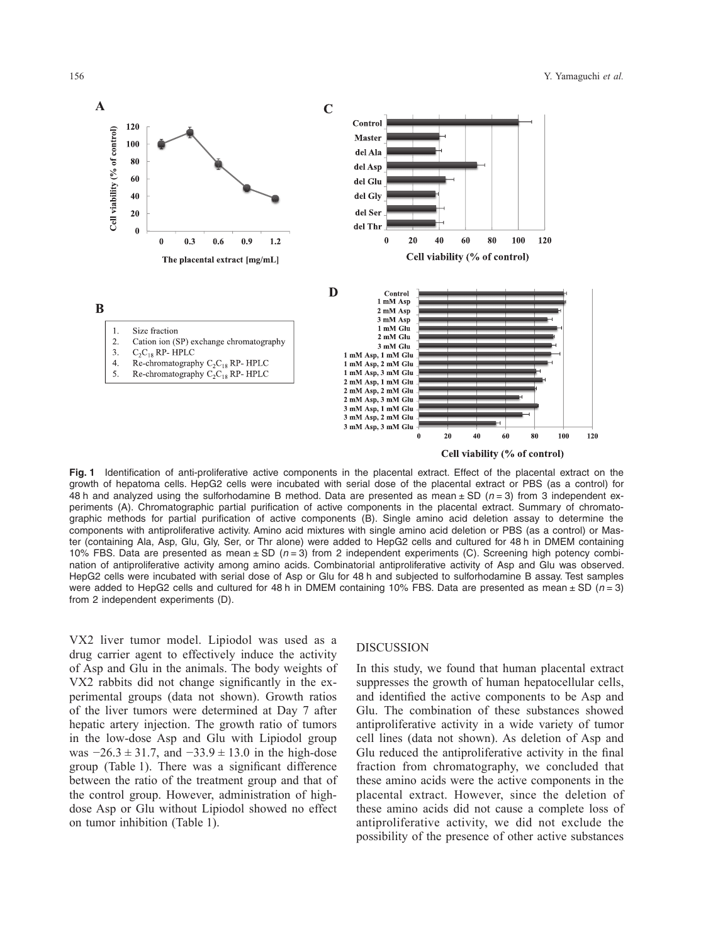

**Fig. 1** Identification of anti-proliferative active components in the placental extract. Effect of the placental extract on the growth of hepatoma cells. HepG2 cells were incubated with serial dose of the placental extract or PBS (as a control) for 48 h and analyzed using the sulforhodamine B method. Data are presented as mean ± SD (*n* = 3) from 3 independent experiments (A). Chromatographic partial purification of active components in the placental extract. Summary of chromatographic methods for partial purification of active components (B). Single amino acid deletion assay to determine the components with antiproliferative activity. Amino acid mixtures with single amino acid deletion or PBS (as a control) or Master (containing Ala, Asp, Glu, Gly, Ser, or Thr alone) were added to HepG2 cells and cultured for 48 h in DMEM containing 10% FBS. Data are presented as mean ± SD (*n* = 3) from 2 independent experiments (C). Screening high potency combination of antiproliferative activity among amino acids. Combinatorial antiproliferative activity of Asp and Glu was observed. HepG2 cells were incubated with serial dose of Asp or Glu for 48 h and subjected to sulforhodamine B assay. Test samples were added to HepG2 cells and cultured for 48 h in DMEM containing 10% FBS. Data are presented as mean ± SD (*n* = 3) from 2 independent experiments (D).

VX2 liver tumor model. Lipiodol was used as a drug carrier agent to effectively induce the activity of Asp and Glu in the animals. The body weights of VX2 rabbits did not change significantly in the experimental groups (data not shown). Growth ratios of the liver tumors were determined at Day 7 after hepatic artery injection. The growth ratio of tumors in the low-dose Asp and Glu with Lipiodol group was  $-26.3 \pm 31.7$ , and  $-33.9 \pm 13.0$  in the high-dose group (Table 1). There was a significant difference between the ratio of the treatment group and that of the control group. However, administration of highdose Asp or Glu without Lipiodol showed no effect on tumor inhibition (Table 1).

### DISCUSSION

In this study, we found that human placental extract suppresses the growth of human hepatocellular cells, and identified the active components to be Asp and Glu. The combination of these substances showed antiproliferative activity in a wide variety of tumor cell lines (data not shown). As deletion of Asp and Glu reduced the antiproliferative activity in the final fraction from chromatography, we concluded that these amino acids were the active components in the placental extract. However, since the deletion of these amino acids did not cause a complete loss of antiproliferative activity, we did not exclude the possibility of the presence of other active substances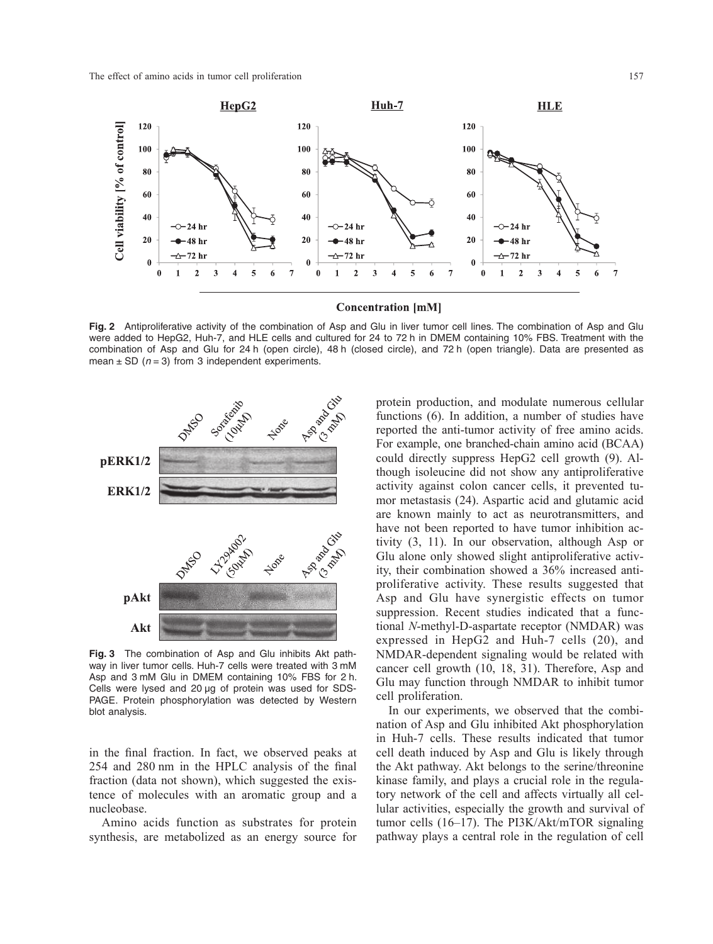

**Fig. 2** Antiproliferative activity of the combination of Asp and Glu in liver tumor cell lines. The combination of Asp and Glu were added to HepG2, Huh-7, and HLE cells and cultured for 24 to 72 h in DMEM containing 10% FBS. Treatment with the combination of Asp and Glu for 24 h (open circle), 48 h (closed circle), and 72 h (open triangle). Data are presented as mean  $\pm$  SD ( $n = 3$ ) from 3 independent experiments.



**Fig. 3** The combination of Asp and Glu inhibits Akt pathway in liver tumor cells. Huh-7 cells were treated with 3 mM Asp and 3 mM Glu in DMEM containing 10% FBS for 2 h. Cells were lysed and 20 μg of protein was used for SDS-PAGE. Protein phosphorylation was detected by Western blot analysis.

in the final fraction. In fact, we observed peaks at 254 and 280 nm in the HPLC analysis of the final fraction (data not shown), which suggested the existence of molecules with an aromatic group and a nucleobase.

Amino acids function as substrates for protein synthesis, are metabolized as an energy source for protein production, and modulate numerous cellular functions (6). In addition, a number of studies have reported the anti-tumor activity of free amino acids. For example, one branched-chain amino acid (BCAA) could directly suppress HepG2 cell growth (9). Although isoleucine did not show any antiproliferative activity against colon cancer cells, it prevented tumor metastasis (24). Aspartic acid and glutamic acid are known mainly to act as neurotransmitters, and have not been reported to have tumor inhibition activity (3, 11). In our observation, although Asp or Glu alone only showed slight antiproliferative activity, their combination showed a 36% increased antiproliferative activity. These results suggested that Asp and Glu have synergistic effects on tumor suppression. Recent studies indicated that a functional *N*-methyl-D-aspartate receptor (NMDAR) was expressed in HepG2 and Huh-7 cells (20), and NMDAR-dependent signaling would be related with cancer cell growth (10, 18, 31). Therefore, Asp and Glu may function through NMDAR to inhibit tumor cell proliferation.

In our experiments, we observed that the combination of Asp and Glu inhibited Akt phosphorylation in Huh-7 cells. These results indicated that tumor cell death induced by Asp and Glu is likely through the Akt pathway. Akt belongs to the serine/threonine kinase family, and plays a crucial role in the regulatory network of the cell and affects virtually all cellular activities, especially the growth and survival of tumor cells (16–17). The PI3K/Akt/mTOR signaling pathway plays a central role in the regulation of cell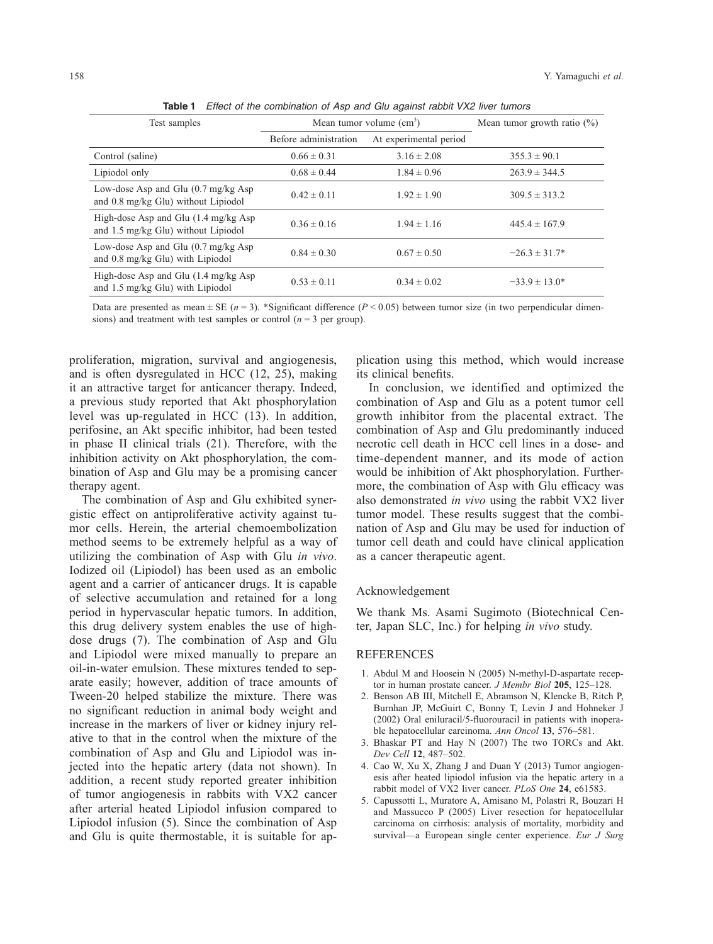**Table 1** *Effect of the combination of Asp and Glu against rabbit VX2 liver tumors*

| Test samples                                                                                    | Mean tumor volume $(cm3)$ |                        | Mean tumor growth ratio $(\%)$ |
|-------------------------------------------------------------------------------------------------|---------------------------|------------------------|--------------------------------|
|                                                                                                 | Before administration     | At experimental period |                                |
| Control (saline)                                                                                | $0.66 \pm 0.31$           | $3.16 \pm 2.08$        | $355.3 \pm 90.1$               |
| Lipiodol only                                                                                   | $0.68 \pm 0.44$           | $1.84 \pm 0.96$        | $263.9 \pm 344.5$              |
| Low-dose Asp and Glu $(0.7 \text{ mg/kg}$ Asp<br>and 0.8 mg/kg Glu) without Lipiodol            | $0.42 \pm 0.11$           | $1.92 \pm 1.90$        | $309.5 \pm 313.2$              |
| High-dose Asp and Glu $(1.4 \text{ mg/kg}$ Asp<br>and $1.5 \text{ mg/kg}$ Glu) without Lipiodol | $0.36 \pm 0.16$           | $1.94 \pm 1.16$        | $445.4 \pm 167.9$              |
| Low-dose Asp and Glu $(0.7 \text{ mg/kg}$ Asp<br>and 0.8 mg/kg Glu) with Lipiodol               | $0.84 \pm 0.30$           | $0.67 \pm 0.50$        | $-26.3 \pm 31.7^*$             |
| High-dose Asp and Glu $(1.4 \text{ mg/kg}$ Asp<br>and $1.5 \text{ mg/kg}$ Glu) with Lipiodol    | $0.53 \pm 0.11$           | $0.34 \pm 0.02$        | $-33.9 \pm 13.0^*$             |

Data are presented as mean  $\pm$  SE ( $n = 3$ ). \*Significant difference ( $P < 0.05$ ) between tumor size (in two perpendicular dimensions) and treatment with test samples or control  $(n = 3$  per group).

proliferation, migration, survival and angiogenesis, and is often dysregulated in HCC (12, 25), making it an attractive target for anticancer therapy. Indeed, a previous study reported that Akt phosphorylation level was up-regulated in HCC (13). In addition, perifosine, an Akt specific inhibitor, had been tested in phase II clinical trials (21). Therefore, with the inhibition activity on Akt phosphorylation, the combination of Asp and Glu may be a promising cancer therapy agent.

The combination of Asp and Glu exhibited synergistic effect on antiproliferative activity against tumor cells. Herein, the arterial chemoembolization method seems to be extremely helpful as a way of utilizing the combination of Asp with Glu *in vivo*. Iodized oil (Lipiodol) has been used as an embolic agent and a carrier of anticancer drugs. It is capable of selective accumulation and retained for a long period in hypervascular hepatic tumors. In addition, this drug delivery system enables the use of highdose drugs (7). The combination of Asp and Glu and Lipiodol were mixed manually to prepare an oil-in-water emulsion. These mixtures tended to separate easily; however, addition of trace amounts of Tween-20 helped stabilize the mixture. There was no significant reduction in animal body weight and increase in the markers of liver or kidney injury relative to that in the control when the mixture of the combination of Asp and Glu and Lipiodol was injected into the hepatic artery (data not shown). In addition, a recent study reported greater inhibition of tumor angiogenesis in rabbits with VX2 cancer after arterial heated Lipiodol infusion compared to Lipiodol infusion (5). Since the combination of Asp and Glu is quite thermostable, it is suitable for application using this method, which would increase its clinical benefits.

In conclusion, we identified and optimized the combination of Asp and Glu as a potent tumor cell growth inhibitor from the placental extract. The combination of Asp and Glu predominantly induced necrotic cell death in HCC cell lines in a dose- and time-dependent manner, and its mode of action would be inhibition of Akt phosphorylation. Furthermore, the combination of Asp with Glu efficacy was also demonstrated *in vivo* using the rabbit VX2 liver tumor model. These results suggest that the combination of Asp and Glu may be used for induction of tumor cell death and could have clinical application as a cancer therapeutic agent.

### Acknowledgement

We thank Ms. Asami Sugimoto (Biotechnical Center, Japan SLC, Inc.) for helping *in vivo* study.

#### REFERENCES

- 1. Abdul M and Hoosein N (2005) N-methyl-D-aspartate receptor in human prostate cancer. *J Membr Biol* **205**, 125–128.
- 2. Benson AB III, Mitchell E, Abramson N, Klencke B, Ritch P, Burnhan JP, McGuirt C, Bonny T, Levin J and Hohneker J (2002) Oral eniluracil/5-fluorouracil in patients with inoperable hepatocellular carcinoma. *Ann Oncol* **13**, 576–581.
- 3. Bhaskar PT and Hay N (2007) The two TORCs and Akt. *Dev Cell* **12**, 487–502.
- 4. Cao W, Xu X, Zhang J and Duan Y (2013) Tumor angiogenesis after heated lipiodol infusion via the hepatic artery in a rabbit model of VX2 liver cancer. *PLoS One* **24**, e61583.
- 5. Capussotti L, Muratore A, Amisano M, Polastri R, Bouzari H and Massucco P (2005) Liver resection for hepatocellular carcinoma on cirrhosis: analysis of mortality, morbidity and survival—a European single center experience. *Eur J Surg*